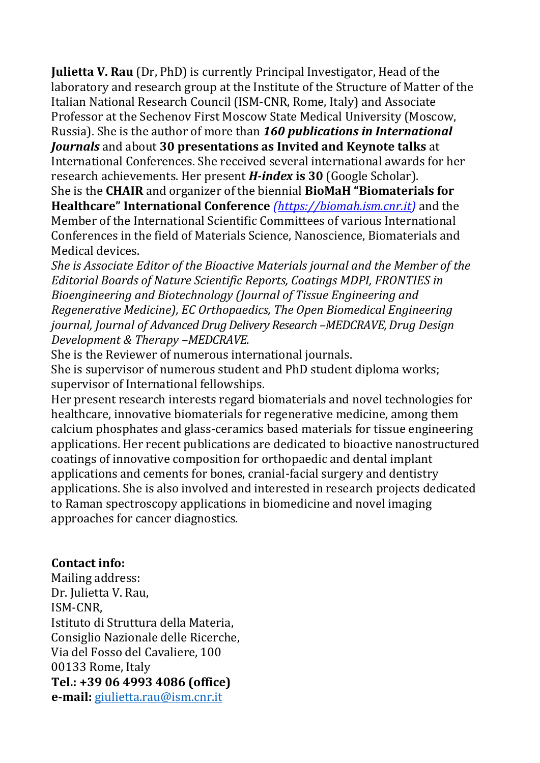**Julietta V. Rau** (Dr, PhD) is currently Principal Investigator, Head of the laboratory and research group at the Institute of the Structure of Matter of the Italian National Research Council (ISM-CNR, Rome, Italy) and Associate Professor at the Sechenov First Moscow State Medical University (Moscow, Russia). She is the author of more than *160 publications in International Journals* and about **30 presentations as Invited and Keynote talks** at

International Conferences. She received several international awards for her research achievements. Her present *H-index* **is 30** (Google Scholar).

She is the **CHAIR** and organizer of the biennial **BioMaH "Biomaterials for Healthcare" International Conference** *(https://biomah.ism.cnr.it)* and the Member of the International Scientific Committees of various International Conferences in the field of Materials Science, Nanoscience, Biomaterials and Medical devices.

*She is Associate Editor of the Bioactive Materials journal and the Member of the Editorial Boards of Nature Scientific Reports, Coatings MDPI, FRONTIES in Bioengineering and Biotechnology (Journal of Tissue Engineering and Regenerative Medicine), EC Orthopaedics, The Open Biomedical Engineering journal, Journal of Advanced Drug Delivery Research –MEDCRAVE, Drug Design Development & Therapy –MEDCRAVE.* 

She is the Reviewer of numerous international journals.

She is supervisor of numerous student and PhD student diploma works; supervisor of International fellowships.

Her present research interests regard biomaterials and novel technologies for healthcare, innovative biomaterials for regenerative medicine, among them calcium phosphates and glass-ceramics based materials for tissue engineering applications. Her recent publications are dedicated to bioactive nanostructured coatings of innovative composition for orthopaedic and dental implant applications and cements for bones, cranial-facial surgery and dentistry applications. She is also involved and interested in research projects dedicated to Raman spectroscopy applications in biomedicine and novel imaging approaches for cancer diagnostics.

## **Contact info:**

Mailing address: Dr. Julietta V. Rau, ISM-CNR, Istituto di Struttura della Materia, Consiglio Nazionale delle Ricerche, Via del Fosso del Cavaliere, 100 00133 Rome, Italy **Tel.: +39 06 4993 4086 (office) e-mail:** [giulietta.rau@ism.cnr.it](mailto:giulietta.rau@ism.cnr.it)